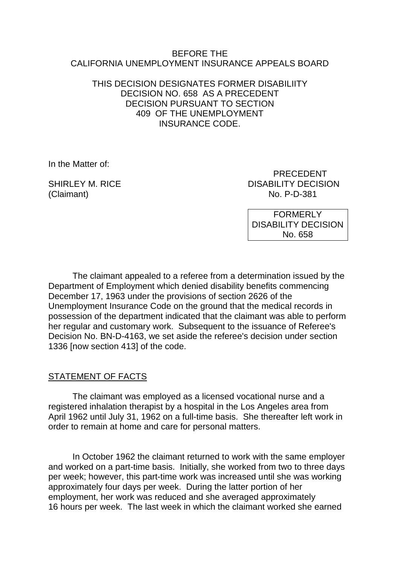#### BEFORE THE CALIFORNIA UNEMPLOYMENT INSURANCE APPEALS BOARD

### THIS DECISION DESIGNATES FORMER DISABILIITY DECISION NO. 658 AS A PRECEDENT DECISION PURSUANT TO SECTION 409 OF THE UNEMPLOYMENT INSURANCE CODE.

In the Matter of:

(Claimant) No. P-D-381

 PRECEDENT SHIRLEY M. RICE DISABILITY DECISION

> FORMERLY DISABILITY DECISION No. 658

The claimant appealed to a referee from a determination issued by the Department of Employment which denied disability benefits commencing December 17, 1963 under the provisions of section 2626 of the Unemployment Insurance Code on the ground that the medical records in possession of the department indicated that the claimant was able to perform her regular and customary work. Subsequent to the issuance of Referee's Decision No. BN-D-4163, we set aside the referee's decision under section 1336 [now section 413] of the code.

## STATEMENT OF FACTS

The claimant was employed as a licensed vocational nurse and a registered inhalation therapist by a hospital in the Los Angeles area from April 1962 until July 31, 1962 on a full-time basis. She thereafter left work in order to remain at home and care for personal matters.

In October 1962 the claimant returned to work with the same employer and worked on a part-time basis. Initially, she worked from two to three days per week; however, this part-time work was increased until she was working approximately four days per week. During the latter portion of her employment, her work was reduced and she averaged approximately 16 hours per week. The last week in which the claimant worked she earned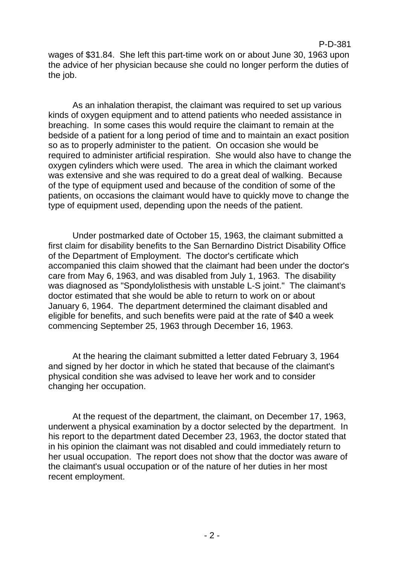wages of \$31.84. She left this part-time work on or about June 30, 1963 upon the advice of her physician because she could no longer perform the duties of the job.

As an inhalation therapist, the claimant was required to set up various kinds of oxygen equipment and to attend patients who needed assistance in breaching. In some cases this would require the claimant to remain at the bedside of a patient for a long period of time and to maintain an exact position so as to properly administer to the patient. On occasion she would be required to administer artificial respiration. She would also have to change the oxygen cylinders which were used. The area in which the claimant worked was extensive and she was required to do a great deal of walking. Because of the type of equipment used and because of the condition of some of the patients, on occasions the claimant would have to quickly move to change the type of equipment used, depending upon the needs of the patient.

Under postmarked date of October 15, 1963, the claimant submitted a first claim for disability benefits to the San Bernardino District Disability Office of the Department of Employment. The doctor's certificate which accompanied this claim showed that the claimant had been under the doctor's care from May 6, 1963, and was disabled from July 1, 1963. The disability was diagnosed as "Spondylolisthesis with unstable L-S joint." The claimant's doctor estimated that she would be able to return to work on or about January 6, 1964. The department determined the claimant disabled and eligible for benefits, and such benefits were paid at the rate of \$40 a week commencing September 25, 1963 through December 16, 1963.

At the hearing the claimant submitted a letter dated February 3, 1964 and signed by her doctor in which he stated that because of the claimant's physical condition she was advised to leave her work and to consider changing her occupation.

At the request of the department, the claimant, on December 17, 1963, underwent a physical examination by a doctor selected by the department. In his report to the department dated December 23, 1963, the doctor stated that in his opinion the claimant was not disabled and could immediately return to her usual occupation. The report does not show that the doctor was aware of the claimant's usual occupation or of the nature of her duties in her most recent employment.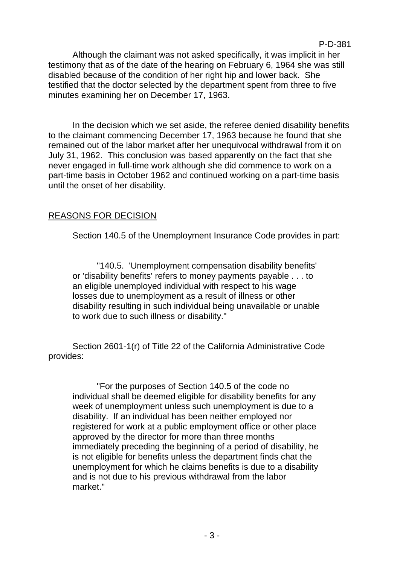Although the claimant was not asked specifically, it was implicit in her testimony that as of the date of the hearing on February 6, 1964 she was still disabled because of the condition of her right hip and lower back. She testified that the doctor selected by the department spent from three to five minutes examining her on December 17, 1963.

P-D-381

In the decision which we set aside, the referee denied disability benefits to the claimant commencing December 17, 1963 because he found that she remained out of the labor market after her unequivocal withdrawal from it on July 31, 1962. This conclusion was based apparently on the fact that she never engaged in full-time work although she did commence to work on a part-time basis in October 1962 and continued working on a part-time basis until the onset of her disability.

## REASONS FOR DECISION

Section 140.5 of the Unemployment Insurance Code provides in part:

"140.5. 'Unemployment compensation disability benefits' or 'disability benefits' refers to money payments payable . . . to an eligible unemployed individual with respect to his wage losses due to unemployment as a result of illness or other disability resulting in such individual being unavailable or unable to work due to such illness or disability."

Section 2601-1(r) of Title 22 of the California Administrative Code provides:

"For the purposes of Section 140.5 of the code no individual shall be deemed eligible for disability benefits for any week of unemployment unless such unemployment is due to a disability. If an individual has been neither employed nor registered for work at a public employment office or other place approved by the director for more than three months immediately preceding the beginning of a period of disability, he is not eligible for benefits unless the department finds chat the unemployment for which he claims benefits is due to a disability and is not due to his previous withdrawal from the labor market."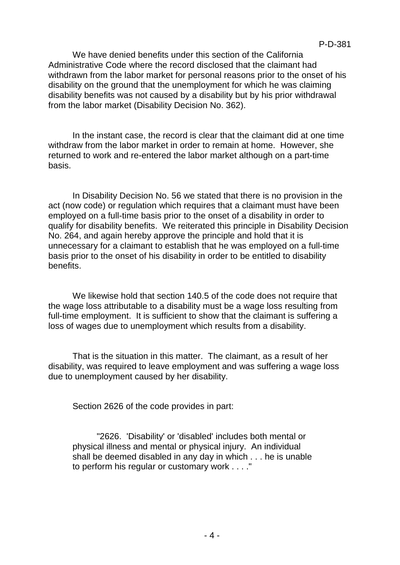P-D-381

We have denied benefits under this section of the California Administrative Code where the record disclosed that the claimant had withdrawn from the labor market for personal reasons prior to the onset of his disability on the ground that the unemployment for which he was claiming disability benefits was not caused by a disability but by his prior withdrawal from the labor market (Disability Decision No. 362).

In the instant case, the record is clear that the claimant did at one time withdraw from the labor market in order to remain at home. However, she returned to work and re-entered the labor market although on a part-time basis.

In Disability Decision No. 56 we stated that there is no provision in the act (now code) or regulation which requires that a claimant must have been employed on a full-time basis prior to the onset of a disability in order to qualify for disability benefits. We reiterated this principle in Disability Decision No. 264, and again hereby approve the principle and hold that it is unnecessary for a claimant to establish that he was employed on a full-time basis prior to the onset of his disability in order to be entitled to disability benefits.

We likewise hold that section 140.5 of the code does not require that the wage loss attributable to a disability must be a wage loss resulting from full-time employment. It is sufficient to show that the claimant is suffering a loss of wages due to unemployment which results from a disability.

That is the situation in this matter. The claimant, as a result of her disability, was required to leave employment and was suffering a wage loss due to unemployment caused by her disability.

Section 2626 of the code provides in part:

"2626. 'Disability' or 'disabled' includes both mental or physical illness and mental or physical injury. An individual shall be deemed disabled in any day in which . . . he is unable to perform his regular or customary work . . . ."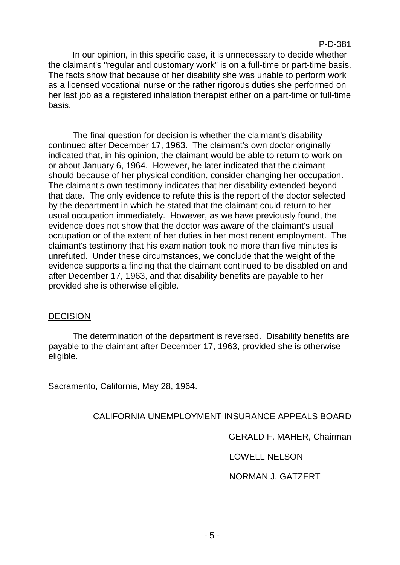#### P-D-381

In our opinion, in this specific case, it is unnecessary to decide whether the claimant's "regular and customary work" is on a full-time or part-time basis. The facts show that because of her disability she was unable to perform work as a licensed vocational nurse or the rather rigorous duties she performed on her last job as a registered inhalation therapist either on a part-time or full-time basis.

The final question for decision is whether the claimant's disability continued after December 17, 1963. The claimant's own doctor originally indicated that, in his opinion, the claimant would be able to return to work on or about January 6, 1964. However, he later indicated that the claimant should because of her physical condition, consider changing her occupation. The claimant's own testimony indicates that her disability extended beyond that date. The only evidence to refute this is the report of the doctor selected by the department in which he stated that the claimant could return to her usual occupation immediately. However, as we have previously found, the evidence does not show that the doctor was aware of the claimant's usual occupation or of the extent of her duties in her most recent employment. The claimant's testimony that his examination took no more than five minutes is unrefuted. Under these circumstances, we conclude that the weight of the evidence supports a finding that the claimant continued to be disabled on and after December 17, 1963, and that disability benefits are payable to her provided she is otherwise eligible.

#### DECISION

The determination of the department is reversed. Disability benefits are payable to the claimant after December 17, 1963, provided she is otherwise eligible.

Sacramento, California, May 28, 1964.

## CALIFORNIA UNEMPLOYMENT INSURANCE APPEALS BOARD

GERALD F. MAHER, Chairman

LOWELL NELSON

NORMAN J. GATZERT